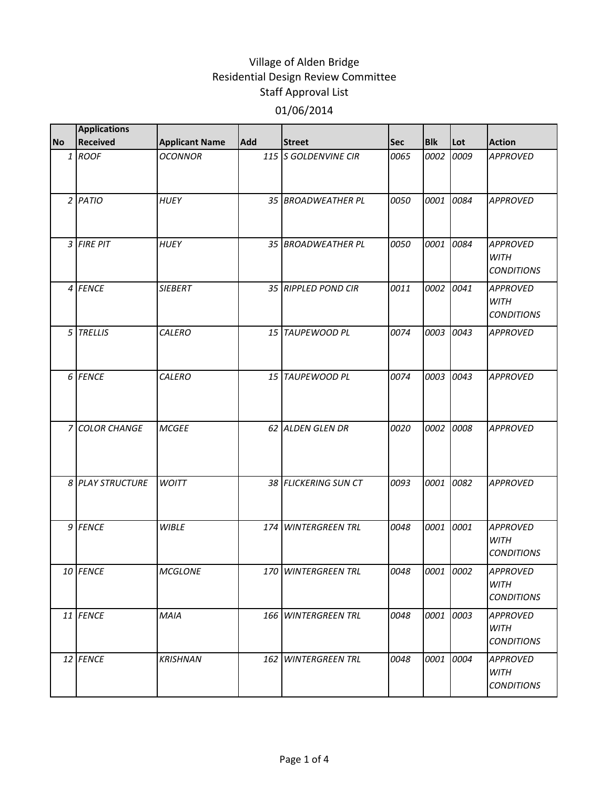| <b>No</b> | <b>Applications</b><br><b>Received</b> | <b>Applicant Name</b> | <b>Add</b> | <b>Street</b>        | <b>Sec</b> | <b>Blk</b> | Lot  | <b>Action</b>                                       |
|-----------|----------------------------------------|-----------------------|------------|----------------------|------------|------------|------|-----------------------------------------------------|
|           | 1 ROOF                                 | <b>OCONNOR</b>        |            | 115 S GOLDENVINE CIR | 0065       | 0002       | 0009 | <b>APPROVED</b>                                     |
|           |                                        |                       |            |                      |            |            |      |                                                     |
|           | $2$ PATIO                              | <b>HUEY</b>           |            | 35 BROADWEATHER PL   | 0050       | 0001       | 0084 | <b>APPROVED</b>                                     |
|           | 3 FIRE PIT                             | <b>HUEY</b>           |            | 35 BROADWEATHER PL   | 0050       | 0001       | 0084 | <b>APPROVED</b><br>WITH<br><b>CONDITIONS</b>        |
|           | 4 FENCE                                | <b>SIEBERT</b>        |            | 35 RIPPLED POND CIR  | 0011       | 0002       | 0041 | <b>APPROVED</b><br><b>WITH</b><br><b>CONDITIONS</b> |
|           | 5 TRELLIS                              | CALERO                |            | 15 TAUPEWOOD PL      | 0074       | 0003 0043  |      | <b>APPROVED</b>                                     |
|           | 6 FENCE                                | <b>CALERO</b>         |            | 15 TAUPEWOOD PL      | 0074       | 0003       | 0043 | <b>APPROVED</b>                                     |
|           | 7 COLOR CHANGE                         | <b>MCGEE</b>          |            | 62 ALDEN GLEN DR     | 0020       | 0002       | 0008 | <b>APPROVED</b>                                     |
|           | 8 PLAY STRUCTURE                       | <b>WOITT</b>          |            | 38 FLICKERING SUN CT | 0093       | 0001       | 0082 | <b>APPROVED</b>                                     |
|           | 9 FENCE                                | <b>WIBLE</b>          |            | 174 WINTERGREEN TRL  | 0048       | 0001       | 0001 | <b>APPROVED</b><br><b>WITH</b><br><b>CONDITIONS</b> |
|           | 10 FENCE                               | <b>MCGLONE</b>        |            | 170 WINTERGREEN TRL  | 0048       | 0001 0002  |      | <b>APPROVED</b><br>WITH<br><b>CONDITIONS</b>        |
|           | 11 FENCE                               | MAIA                  |            | 166 WINTERGREEN TRL  | 0048       | 0001 0003  |      | <b>APPROVED</b><br>WITH<br><b>CONDITIONS</b>        |
|           | 12 FENCE                               | <b>KRISHNAN</b>       |            | 162 WINTERGREEN TRL  | 0048       | 0001       | 0004 | <b>APPROVED</b><br><b>WITH</b><br><b>CONDITIONS</b> |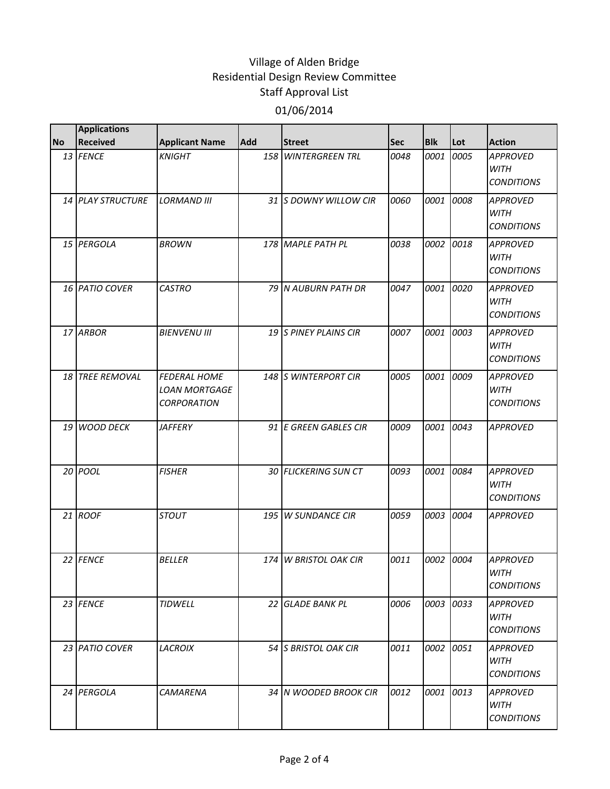|           | <b>Applications</b>      |                                                                   |     |                        |            |            |           |                                                     |
|-----------|--------------------------|-------------------------------------------------------------------|-----|------------------------|------------|------------|-----------|-----------------------------------------------------|
| <b>No</b> | <b>Received</b>          | <b>Applicant Name</b>                                             | Add | <b>Street</b>          | <b>Sec</b> | <b>Blk</b> | Lot       | <b>Action</b>                                       |
|           | 13 FENCE                 | <b>KNIGHT</b>                                                     | 158 | <b>WINTERGREEN TRL</b> | 0048       | 0001       | 0005      | <b>APPROVED</b><br><b>WITH</b><br><b>CONDITIONS</b> |
|           | <b>14 PLAY STRUCTURE</b> | <b>LORMAND III</b>                                                |     | 31 IS DOWNY WILLOW CIR | 0060       | 0001       | 0008      | <b>APPROVED</b><br><b>WITH</b><br><b>CONDITIONS</b> |
|           | 15 PERGOLA               | <b>BROWN</b>                                                      |     | 178 MAPLE PATH PL      | 0038       | 0002       | 0018      | <b>APPROVED</b><br><b>WITH</b><br><b>CONDITIONS</b> |
|           | 16 PATIO COVER           | <b>CASTRO</b>                                                     |     | 79 N AUBURN PATH DR    | 0047       | 0001       | 0020      | <b>APPROVED</b><br><b>WITH</b><br><b>CONDITIONS</b> |
|           | 17 ARBOR                 | <b>BIENVENU III</b>                                               |     | 19 S PINEY PLAINS CIR  | 0007       | 0001       | 0003      | <b>APPROVED</b><br><b>WITH</b><br><b>CONDITIONS</b> |
|           | 18 TREE REMOVAL          | <b>FEDERAL HOME</b><br><b>LOAN MORTGAGE</b><br><b>CORPORATION</b> |     | 148 S WINTERPORT CIR   | 0005       | 0001       | 0009      | <b>APPROVED</b><br><b>WITH</b><br><b>CONDITIONS</b> |
| 19 I      | <b>WOOD DECK</b>         | <b>JAFFERY</b>                                                    |     | 91 E GREEN GABLES CIR  | 0009       | 0001       | 0043      | <b>APPROVED</b>                                     |
|           | 20 POOL                  | <b>FISHER</b>                                                     |     | 30 FLICKERING SUN CT   | 0093       | 0001       | 0084      | <b>APPROVED</b><br><b>WITH</b><br><b>CONDITIONS</b> |
|           | 21 ROOF                  | <b>STOUT</b>                                                      | 195 | <b>W SUNDANCE CIR</b>  | 0059       | 0003       | 0004      | <b>APPROVED</b>                                     |
|           | 22 FENCE                 | <b>BELLER</b>                                                     |     | 174 W BRISTOL OAK CIR  | 0011       | 0002       | 0004      | <b>APPROVED</b><br>WITH<br><b>CONDITIONS</b>        |
|           | 23 FENCE                 | <b>TIDWELL</b>                                                    |     | 22 GLADE BANK PL       | 0006       | 0003 0033  |           | <b>APPROVED</b><br><b>WITH</b><br><b>CONDITIONS</b> |
|           | 23 PATIO COVER           | <b>LACROIX</b>                                                    |     | 54 S BRISTOL OAK CIR   | 0011       | 0002       | 0051      | <b>APPROVED</b><br><b>WITH</b><br><b>CONDITIONS</b> |
|           | 24 PERGOLA               | CAMARENA                                                          |     | 34 N WOODED BROOK CIR  | 0012       |            | 0001 0013 | <b>APPROVED</b><br><b>WITH</b><br><b>CONDITIONS</b> |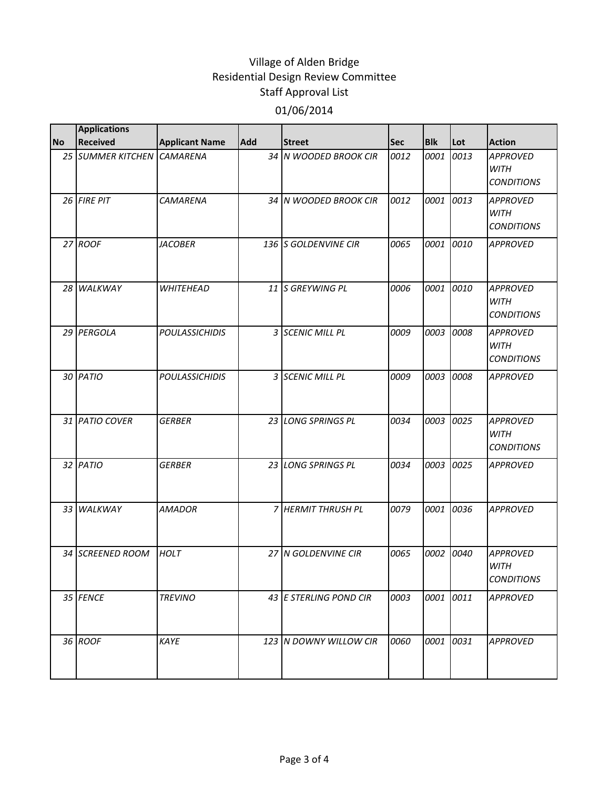|           | <b>Applications</b>        |                       |            |                        |      |            |      |                                                     |
|-----------|----------------------------|-----------------------|------------|------------------------|------|------------|------|-----------------------------------------------------|
| <b>No</b> | <b>Received</b>            | <b>Applicant Name</b> | <b>Add</b> | <b>Street</b>          | Sec  | <b>Blk</b> | Lot  | <b>Action</b>                                       |
|           | 25 SUMMER KITCHEN CAMARENA |                       |            | 34 N WOODED BROOK CIR  | 0012 | 0001       | 0013 | <b>APPROVED</b><br><b>WITH</b><br><b>CONDITIONS</b> |
|           | 26 FIRE PIT                | <b>CAMARENA</b>       |            | 34 N WOODED BROOK CIR  | 0012 | 0001       | 0013 | <b>APPROVED</b><br><b>WITH</b><br><b>CONDITIONS</b> |
|           | 27 ROOF                    | <b>JACOBER</b>        |            | 136 S GOLDENVINE CIR   | 0065 | 0001       | 0010 | <b>APPROVED</b>                                     |
|           | 28 WALKWAY                 | <b>WHITEHEAD</b>      |            | 11 S GREYWING PL       | 0006 | 0001       | 0010 | <b>APPROVED</b><br><b>WITH</b><br><b>CONDITIONS</b> |
|           | 29 PERGOLA                 | <b>POULASSICHIDIS</b> |            | 3 SCENIC MILL PL       | 0009 | 0003       | 0008 | <b>APPROVED</b><br><b>WITH</b><br><b>CONDITIONS</b> |
|           | 30 PATIO                   | <b>POULASSICHIDIS</b> |            | 3 SCENIC MILL PL       | 0009 | 0003       | 0008 | <b>APPROVED</b>                                     |
|           | 31 PATIO COVER             | <b>GERBER</b>         |            | 23 LONG SPRINGS PL     | 0034 | 0003       | 0025 | <b>APPROVED</b><br><b>WITH</b><br><b>CONDITIONS</b> |
|           | 32 PATIO                   | <b>GERBER</b>         |            | 23 LONG SPRINGS PL     | 0034 | 0003       | 0025 | <b>APPROVED</b>                                     |
|           | 33 WALKWAY                 | <b>AMADOR</b>         |            | 7 HERMIT THRUSH PL     | 0079 | 0001       | 0036 | <b>APPROVED</b>                                     |
|           | 34 SCREENED ROOM           | <b>HOLT</b>           |            | 27 N GOLDENVINE CIR    | 0065 | 0002       | 0040 | <b>APPROVED</b><br><b>WITH</b><br><b>CONDITIONS</b> |
|           | 35 FENCE                   | <b>TREVINO</b>        |            | 43 E STERLING POND CIR | 0003 | 0001       | 0011 | <b>APPROVED</b>                                     |
|           | 36 ROOF                    | KAYE                  |            | 123 N DOWNY WILLOW CIR | 0060 | 0001       | 0031 | <b>APPROVED</b>                                     |